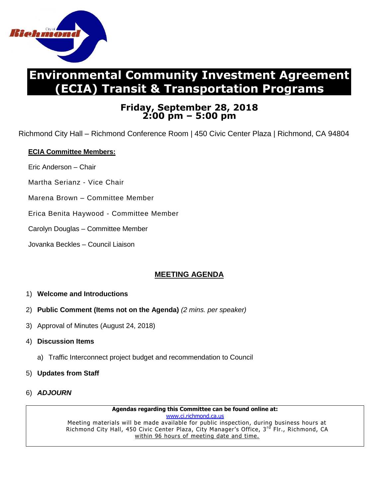

# **Environmental Community Investment Agreement (ECIA) Transit & Transportation Programs**

## **Friday, September 28, 2018 2:00 pm – 5:00 pm**

Richmond City Hall – Richmond Conference Room | 450 Civic Center Plaza | Richmond, CA 94804

### **ECIA Committee Members:**

- Eric Anderson Chair
- Martha Serianz Vice Chair
- Marena Brown Committee Member
- Erica Benita Haywood Committee Member
- Carolyn Douglas Committee Member
- Jovanka Beckles Council Liaison

## **MEETING AGENDA**

#### 1) **Welcome and Introductions**

- 2) **Public Comment (Items not on the Agenda)** *(2 mins. per speaker)*
- 3) Approval of Minutes (August 24, 2018)
- 4) **Discussion Items**
	- a) Traffic Interconnect project budget and recommendation to Council
- 5) **Updates from Staff**
- 6) *ADJOURN*

**Agendas regarding this Committee can be found online at:** [www.ci.richmond.ca.us](http://www.ci.richmond.ca.us/) Meeting materials will be made available for public inspection, during business hours at Richmond City Hall, 450 Civic Center Plaza, City Manager's Office, 3<sup>rd</sup> Flr., Richmond, CA within 96 hours of meeting date and time.